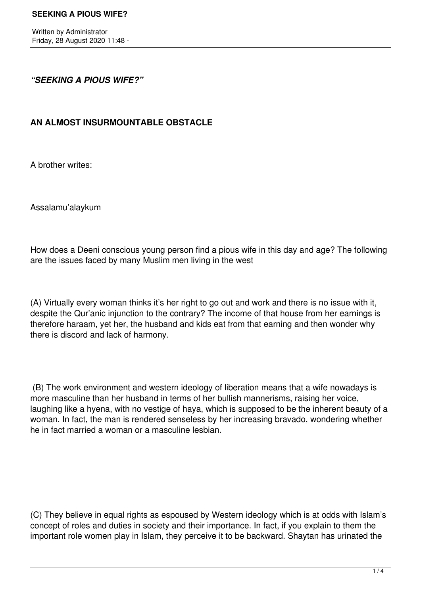## *"SEEKING A PIOUS WIFE?"*

# **AN ALMOST INSURMOUNTABLE OBSTACLE**

A brother writes:

Assalamu'alaykum

How does a Deeni conscious young person find a pious wife in this day and age? The following are the issues faced by many Muslim men living in the west

(A) Virtually every woman thinks it's her right to go out and work and there is no issue with it, despite the Qur'anic injunction to the contrary? The income of that house from her earnings is therefore haraam, yet her, the husband and kids eat from that earning and then wonder why there is discord and lack of harmony.

 (B) The work environment and western ideology of liberation means that a wife nowadays is more masculine than her husband in terms of her bullish mannerisms, raising her voice, laughing like a hyena, with no vestige of haya, which is supposed to be the inherent beauty of a woman. In fact, the man is rendered senseless by her increasing bravado, wondering whether he in fact married a woman or a masculine lesbian.

(C) They believe in equal rights as espoused by Western ideology which is at odds with Islam's concept of roles and duties in society and their importance. In fact, if you explain to them the important role women play in Islam, they perceive it to be backward. Shaytan has urinated the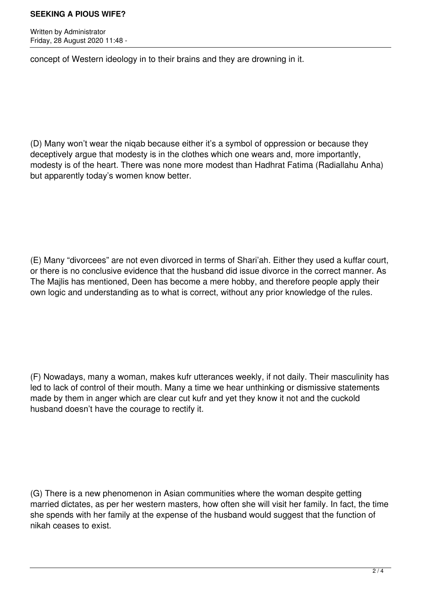#### **SEEKING A PIOUS WIFE?**

Written by Administrator Friday, 28 August 2020 11:48 -

concept of Western ideology in to their brains and they are drowning in it.

(D) Many won't wear the niqab because either it's a symbol of oppression or because they deceptively argue that modesty is in the clothes which one wears and, more importantly, modesty is of the heart. There was none more modest than Hadhrat Fatima (Radiallahu Anha) but apparently today's women know better.

(E) Many "divorcees" are not even divorced in terms of Shari'ah. Either they used a kuffar court, or there is no conclusive evidence that the husband did issue divorce in the correct manner. As The Majlis has mentioned, Deen has become a mere hobby, and therefore people apply their own logic and understanding as to what is correct, without any prior knowledge of the rules.

(F) Nowadays, many a woman, makes kufr utterances weekly, if not daily. Their masculinity has led to lack of control of their mouth. Many a time we hear unthinking or dismissive statements made by them in anger which are clear cut kufr and yet they know it not and the cuckold husband doesn't have the courage to rectify it.

(G) There is a new phenomenon in Asian communities where the woman despite getting married dictates, as per her western masters, how often she will visit her family. In fact, the time she spends with her family at the expense of the husband would suggest that the function of nikah ceases to exist.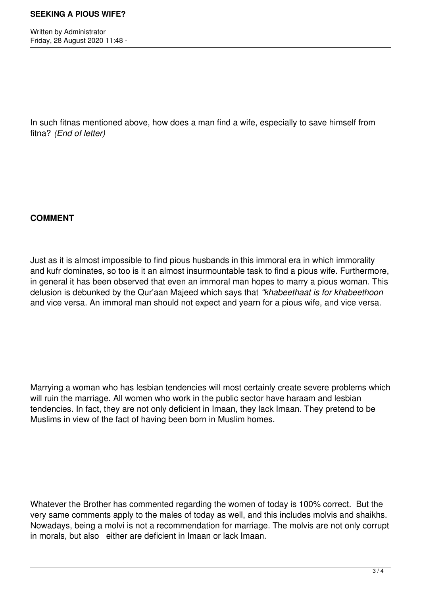Written by Administrator Friday, 28 August 2020 11:48 -

In such fitnas mentioned above, how does a man find a wife, especially to save himself from fitna? *(End of letter)*

## **COMMENT**

Just as it is almost impossible to find pious husbands in this immoral era in which immorality and kufr dominates, so too is it an almost insurmountable task to find a pious wife. Furthermore, in general it has been observed that even an immoral man hopes to marry a pious woman. This delusion is debunked by the Qur'aan Majeed which says that *"khabeethaat is for khabeethoon* and vice versa. An immoral man should not expect and yearn for a pious wife, and vice versa.

Marrying a woman who has lesbian tendencies will most certainly create severe problems which will ruin the marriage. All women who work in the public sector have haraam and lesbian tendencies. In fact, they are not only deficient in Imaan, they lack Imaan. They pretend to be Muslims in view of the fact of having been born in Muslim homes.

Whatever the Brother has commented regarding the women of today is 100% correct. But the very same comments apply to the males of today as well, and this includes molvis and shaikhs. Nowadays, being a molvi is not a recommendation for marriage. The molvis are not only corrupt in morals, but also either are deficient in Imaan or lack Imaan.